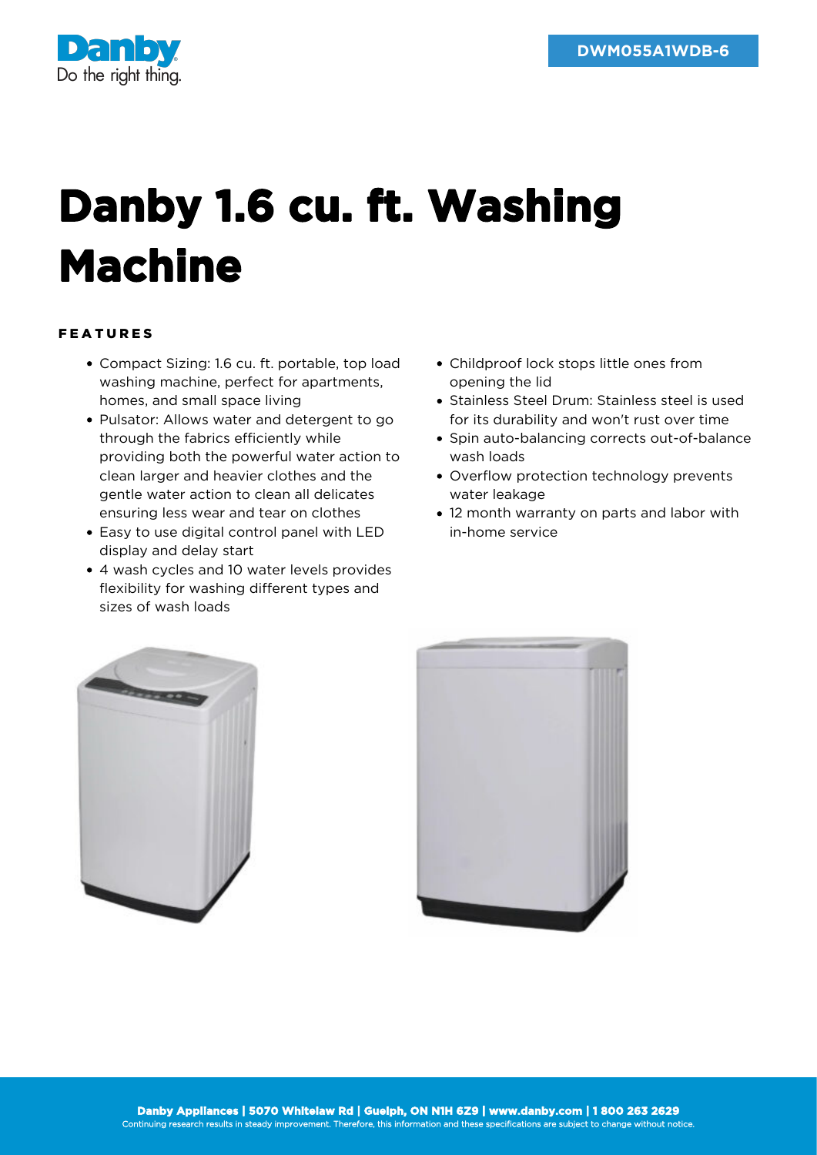

## **Danby 1.6 cu. ft. Washing Machine**

## FEATURES

- Compact Sizing: 1.6 cu. ft. portable, top load washing machine, perfect for apartments, homes, and small space living
- Pulsator: Allows water and detergent to go through the fabrics efficiently while providing both the powerful water action to clean larger and heavier clothes and the gentle water action to clean all delicates ensuring less wear and tear on clothes
- Easy to use digital control panel with LED display and delay start
- 4 wash cycles and 10 water levels provides flexibility for washing different types and sizes of wash loads
- Childproof lock stops little ones from opening the lid
- Stainless Steel Drum: Stainless steel is used for its durability and won't rust over time
- Spin auto-balancing corrects out-of-balance wash loads
- Overflow protection technology prevents water leakage
- 12 month warranty on parts and labor with in-home service